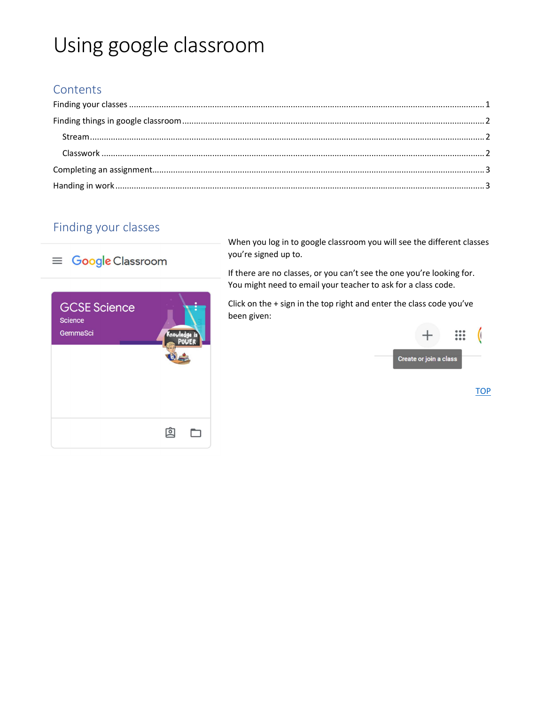# Using google classroom

## Contents

# Finding your classes



When you log in to google classroom you will see the different classes you're signed up to.

If there are no classes, or you can't see the one you're looking for. You might need to email your teacher to ask for a class code.

Click on the + sign in the top right and enter the class code you've been given:



**TOP**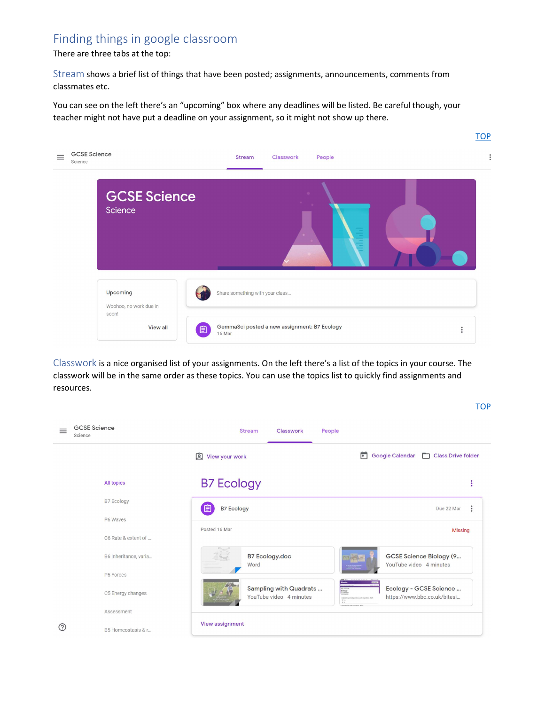### Finding things in google classroom

There are three tabs at the top:

Stream shows a brief list of things that have been posted; assignments, announcements, comments from classmates etc.

You can see on the left there's an "upcoming" box where any deadlines will be listed. Be careful though, your teacher might not have put a deadline on your assignment, so it might not show up there.



Classwork is a nice organised list of your assignments. On the left there's a list of the topics in your course. The classwork will be in the same order as these topics. You can use the topics list to quickly find assignments and resources.